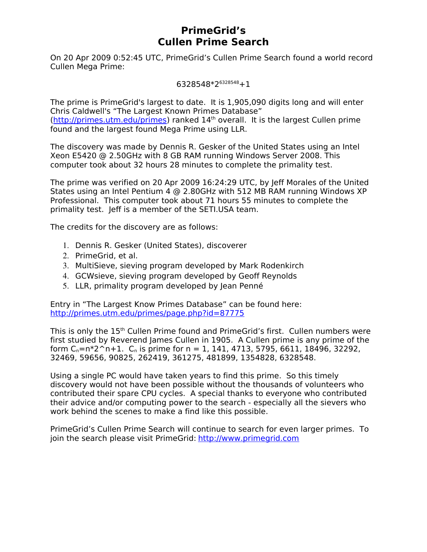## **PrimeGrid's Cullen Prime Search**

On 20 Apr 2009 0:52:45 UTC, PrimeGrid's Cullen Prime Search found a world record Cullen Mega Prime:

 $6328548*2^{6328548}+1$ 

The prime is PrimeGrid's largest to date. It is 1,905,090 digits long and will enter Chris Caldwell's "The Largest Known Primes Database"  $(http://primes.utm.edu/primes)$  ranked  $14<sup>th</sup>$  overall. It is the largest Cullen prime found and the largest found Mega Prime using LLR.

The discovery was made by Dennis R. Gesker of the United States using an Intel Xeon E5420 @ 2.50GHz with 8 GB RAM running Windows Server 2008. This computer took about 32 hours 28 minutes to complete the primality test.

The prime was verified on 20 Apr 2009 16:24:29 UTC, by Jeff Morales of the United States using an Intel Pentium 4 @ 2.80GHz with 512 MB RAM running Windows XP Professional. This computer took about 71 hours 55 minutes to complete the primality test. Jeff is a member of the SETI.USA team.

The credits for the discovery are as follows:

- 1. Dennis R. Gesker (United States), discoverer
- 2. PrimeGrid, et al.
- 3. MultiSieve, sieving program developed by Mark Rodenkirch
- 4. GCWsieve, sieving program developed by Geoff Reynolds
- 5. LLR, primality program developed by Jean Penné

Entry in "The Largest Know Primes Database" can be found here: <http://primes.utm.edu/primes/page.php?id=87775>

This is only the 15<sup>th</sup> Cullen Prime found and PrimeGrid's first. Cullen numbers were first studied by Reverend James Cullen in 1905. A Cullen prime is any prime of the form  $C_n=n^*2^n+1$ .  $C_n$  is prime for  $n = 1$ , 141, 4713, 5795, 6611, 18496, 32292, 32469, 59656, 90825, 262419, 361275, 481899, 1354828, 6328548.

Using a single PC would have taken years to find this prime. So this timely discovery would not have been possible without the thousands of volunteers who contributed their spare CPU cycles. A special thanks to everyone who contributed their advice and/or computing power to the search - especially all the sievers who work behind the scenes to make a find like this possible.

PrimeGrid's Cullen Prime Search will continue to search for even larger primes. To join the search please visit PrimeGrid: [http://www.primegrid.com](http://www.primegrid.com/)